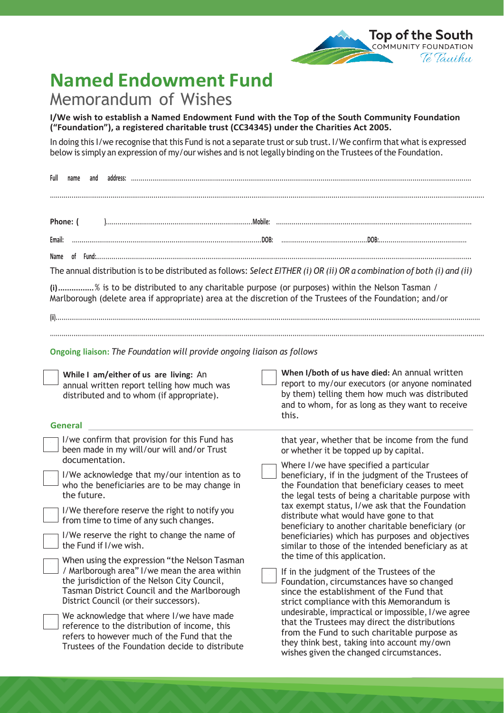## **Named Endowment Fund**

## Memorandum of Wishes

**I/We wish to establish a Named Endowment Fund with the Top of the South Community Foundation ("Foundation"), a registered charitable trust (CC34345) under the Charities Act 2005.**

In doing this I/we recognise that this Fund is not a separate trust or sub trust. I/We confirm that what is expressed below is simply an expression of my/our wishes and is not legally binding on the Trustees of the Foundation.

| Full<br>name<br>and                                                                                                                                                                                                                     |                                                                                                                                                                                                                                               |
|-----------------------------------------------------------------------------------------------------------------------------------------------------------------------------------------------------------------------------------------|-----------------------------------------------------------------------------------------------------------------------------------------------------------------------------------------------------------------------------------------------|
| Phone: (<br>Email:<br>(i)% is to be distributed to any charitable purpose (or purposes) within the Nelson Tasman /<br>Marlborough (delete area if appropriate) area at the discretion of the Trustees of the Foundation; and/or         | The annual distribution is to be distributed as follows: Select EITHER (i) OR (ii) OR a combination of both (i) and (ii)                                                                                                                      |
| Ongoing liaison: The Foundation will provide ongoing liaison as follows<br>While I am/either of us are living: An<br>annual written report telling how much was                                                                         | When I/both of us have died: An annual written<br>report to my/our executors (or anyone nominated                                                                                                                                             |
| distributed and to whom (if appropriate).<br><b>General</b>                                                                                                                                                                             | by them) telling them how much was distributed<br>and to whom, for as long as they want to receive<br>this.                                                                                                                                   |
| I/we confirm that provision for this Fund has<br>been made in my will/our will and/or Trust<br>documentation.                                                                                                                           | that year, whether that be income from the fund<br>or whether it be topped up by capital.<br>Where I/we have specified a particular                                                                                                           |
| I/We acknowledge that my/our intention as to<br>who the beneficiaries are to be may change in<br>the future.<br>I/We therefore reserve the right to notify you                                                                          | beneficiary, if in the judgment of the Trustees of<br>the Foundation that beneficiary ceases to meet<br>the legal tests of being a charitable purpose with<br>tax exempt status, I/we ask that the Foundation                                 |
| from time to time of any such changes.<br>I/We reserve the right to change the name of<br>the Fund if I/we wish.                                                                                                                        | distribute what would have gone to that<br>beneficiary to another charitable beneficiary (or<br>beneficiaries) which has purposes and objectives<br>similar to those of the intended beneficiary as at                                        |
| When using the expression "the Nelson Tasman<br>/ Marlborough area" I/we mean the area within<br>the jurisdiction of the Nelson City Council,<br>Tasman District Council and the Marlborough<br>District Council (or their successors). | the time of this application.<br>If in the judgment of the Trustees of the<br>Foundation, circumstances have so changed<br>since the establishment of the Fund that<br>strict compliance with this Memorandum is                              |
| We acknowledge that where I/we have made<br>reference to the distribution of income, this<br>refers to however much of the Fund that the<br>Trustees of the Foundation decide to distribute                                             | undesirable, impractical or impossible, I/we agree<br>that the Trustees may direct the distributions<br>from the Fund to such charitable purpose as<br>they think best, taking into account my/own<br>wishes given the changed circumstances. |